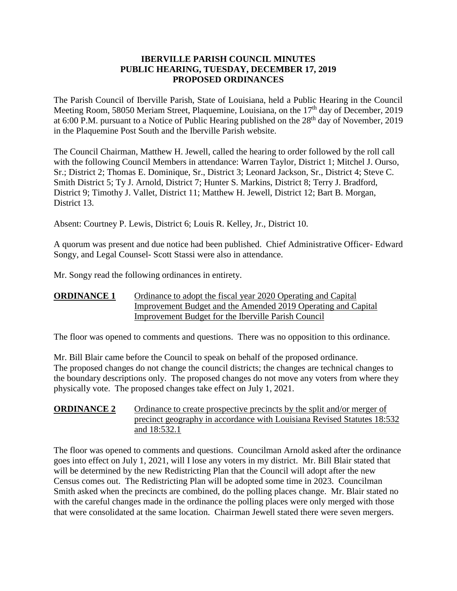### **IBERVILLE PARISH COUNCIL MINUTES PUBLIC HEARING, TUESDAY, DECEMBER 17, 2019 PROPOSED ORDINANCES**

The Parish Council of Iberville Parish, State of Louisiana, held a Public Hearing in the Council Meeting Room, 58050 Meriam Street, Plaquemine, Louisiana, on the 17<sup>th</sup> day of December, 2019 at 6:00 P.M. pursuant to a Notice of Public Hearing published on the  $28<sup>th</sup>$  day of November, 2019 in the Plaquemine Post South and the Iberville Parish website.

The Council Chairman, Matthew H. Jewell, called the hearing to order followed by the roll call with the following Council Members in attendance: Warren Taylor, District 1; Mitchel J. Ourso, Sr.; District 2; Thomas E. Dominique, Sr., District 3; Leonard Jackson, Sr., District 4; Steve C. Smith District 5; Ty J. Arnold, District 7; Hunter S. Markins, District 8; Terry J. Bradford, District 9; Timothy J. Vallet, District 11; Matthew H. Jewell, District 12; Bart B. Morgan, District 13.

Absent: Courtney P. Lewis, District 6; Louis R. Kelley, Jr., District 10.

A quorum was present and due notice had been published. Chief Administrative Officer- Edward Songy, and Legal Counsel- Scott Stassi were also in attendance.

Mr. Songy read the following ordinances in entirety.

### **ORDINANCE 1** Ordinance to adopt the fiscal year 2020 Operating and Capital Improvement Budget and the Amended 2019 Operating and Capital Improvement Budget for the Iberville Parish Council

The floor was opened to comments and questions. There was no opposition to this ordinance.

Mr. Bill Blair came before the Council to speak on behalf of the proposed ordinance. The proposed changes do not change the council districts; the changes are technical changes to the boundary descriptions only. The proposed changes do not move any voters from where they physically vote. The proposed changes take effect on July 1, 2021.

## **ORDINANCE 2** Ordinance to create prospective precincts by the split and/or merger of precinct geography in accordance with Louisiana Revised Statutes 18:532 and 18:532.1

The floor was opened to comments and questions. Councilman Arnold asked after the ordinance goes into effect on July 1, 2021, will I lose any voters in my district. Mr. Bill Blair stated that will be determined by the new Redistricting Plan that the Council will adopt after the new Census comes out. The Redistricting Plan will be adopted some time in 2023. Councilman Smith asked when the precincts are combined, do the polling places change. Mr. Blair stated no with the careful changes made in the ordinance the polling places were only merged with those that were consolidated at the same location. Chairman Jewell stated there were seven mergers.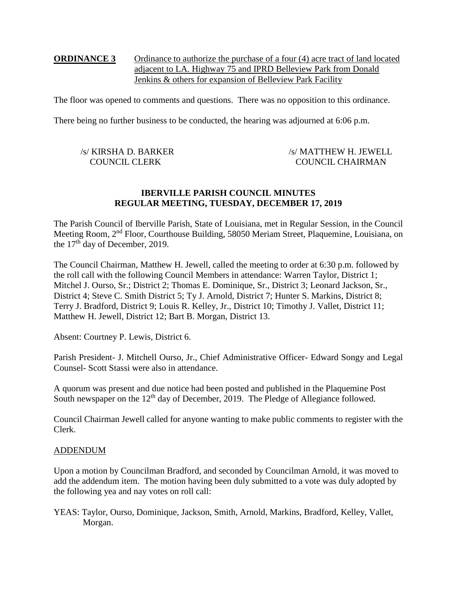## **ORDINANCE 3** Ordinance to authorize the purchase of a four (4) acre tract of land located adjacent to LA. Highway 75 and IPRD Belleview Park from Donald Jenkins & others for expansion of Belleview Park Facility

The floor was opened to comments and questions. There was no opposition to this ordinance.

There being no further business to be conducted, the hearing was adjourned at 6:06 p.m.

| /s/ KIRSHA D. BARKER | /s/ MATTHEW H. JEWELL   |
|----------------------|-------------------------|
| <b>COUNCIL CLERK</b> | <b>COUNCIL CHAIRMAN</b> |

#### **IBERVILLE PARISH COUNCIL MINUTES REGULAR MEETING, TUESDAY, DECEMBER 17, 2019**

The Parish Council of Iberville Parish, State of Louisiana, met in Regular Session, in the Council Meeting Room, 2nd Floor, Courthouse Building, 58050 Meriam Street, Plaquemine, Louisiana, on the  $17<sup>th</sup>$  day of December, 2019.

The Council Chairman, Matthew H. Jewell, called the meeting to order at 6:30 p.m. followed by the roll call with the following Council Members in attendance: Warren Taylor, District 1; Mitchel J. Ourso, Sr.; District 2; Thomas E. Dominique, Sr., District 3; Leonard Jackson, Sr., District 4; Steve C. Smith District 5; Ty J. Arnold, District 7; Hunter S. Markins, District 8; Terry J. Bradford, District 9; Louis R. Kelley, Jr., District 10; Timothy J. Vallet, District 11; Matthew H. Jewell, District 12; Bart B. Morgan, District 13.

Absent: Courtney P. Lewis, District 6.

Parish President- J. Mitchell Ourso, Jr., Chief Administrative Officer- Edward Songy and Legal Counsel- Scott Stassi were also in attendance.

A quorum was present and due notice had been posted and published in the Plaquemine Post South newspaper on the 12<sup>th</sup> day of December, 2019. The Pledge of Allegiance followed.

Council Chairman Jewell called for anyone wanting to make public comments to register with the Clerk.

#### ADDENDUM

Upon a motion by Councilman Bradford, and seconded by Councilman Arnold, it was moved to add the addendum item. The motion having been duly submitted to a vote was duly adopted by the following yea and nay votes on roll call:

YEAS: Taylor, Ourso, Dominique, Jackson, Smith, Arnold, Markins, Bradford, Kelley, Vallet, Morgan.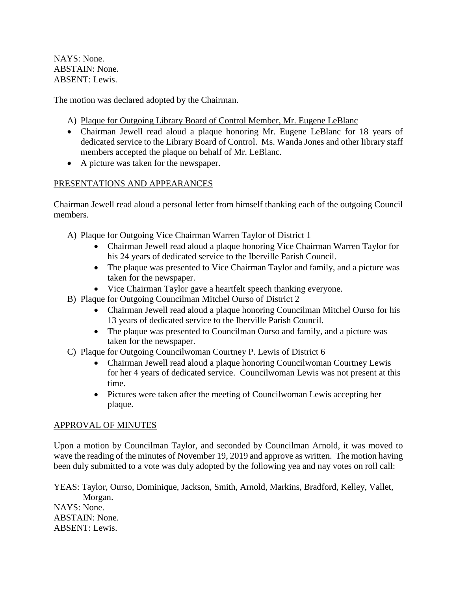NAYS: None. ABSTAIN: None. ABSENT: Lewis.

The motion was declared adopted by the Chairman.

A) Plaque for Outgoing Library Board of Control Member, Mr. Eugene LeBlanc

- Chairman Jewell read aloud a plaque honoring Mr. Eugene LeBlanc for 18 years of dedicated service to the Library Board of Control. Ms. Wanda Jones and other library staff members accepted the plaque on behalf of Mr. LeBlanc.
- A picture was taken for the newspaper.

## PRESENTATIONS AND APPEARANCES

Chairman Jewell read aloud a personal letter from himself thanking each of the outgoing Council members.

- A) Plaque for Outgoing Vice Chairman Warren Taylor of District 1
	- Chairman Jewell read aloud a plaque honoring Vice Chairman Warren Taylor for his 24 years of dedicated service to the Iberville Parish Council.
	- The plaque was presented to Vice Chairman Taylor and family, and a picture was taken for the newspaper.
	- Vice Chairman Taylor gave a heartfelt speech thanking everyone.
- B) Plaque for Outgoing Councilman Mitchel Ourso of District 2
	- Chairman Jewell read aloud a plaque honoring Councilman Mitchel Ourso for his 13 years of dedicated service to the Iberville Parish Council.
	- The plaque was presented to Councilman Ourso and family, and a picture was taken for the newspaper.
- C) Plaque for Outgoing Councilwoman Courtney P. Lewis of District 6
	- Chairman Jewell read aloud a plaque honoring Councilwoman Courtney Lewis for her 4 years of dedicated service. Councilwoman Lewis was not present at this time.
	- Pictures were taken after the meeting of Councilwoman Lewis accepting her plaque.

## APPROVAL OF MINUTES

Upon a motion by Councilman Taylor, and seconded by Councilman Arnold, it was moved to wave the reading of the minutes of November 19, 2019 and approve as written. The motion having been duly submitted to a vote was duly adopted by the following yea and nay votes on roll call:

YEAS: Taylor, Ourso, Dominique, Jackson, Smith, Arnold, Markins, Bradford, Kelley, Vallet, Morgan. NAYS: None. ABSTAIN: None. ABSENT: Lewis.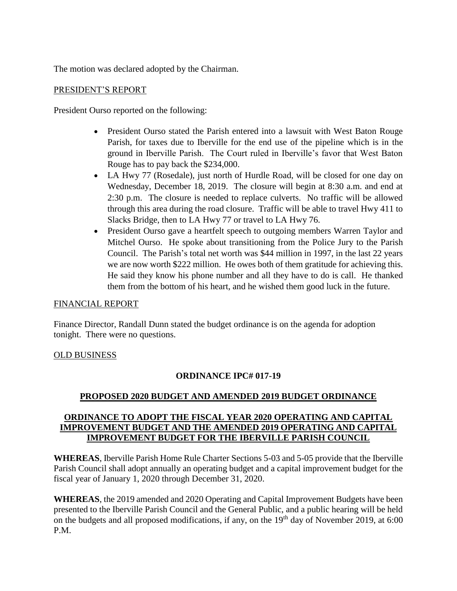The motion was declared adopted by the Chairman.

#### PRESIDENT'S REPORT

President Ourso reported on the following:

- President Ourso stated the Parish entered into a lawsuit with West Baton Rouge Parish, for taxes due to Iberville for the end use of the pipeline which is in the ground in Iberville Parish. The Court ruled in Iberville's favor that West Baton Rouge has to pay back the \$234,000.
- LA Hwy 77 (Rosedale), just north of Hurdle Road, will be closed for one day on Wednesday, December 18, 2019. The closure will begin at 8:30 a.m. and end at 2:30 p.m. The closure is needed to replace culverts. No traffic will be allowed through this area during the road closure. Traffic will be able to travel Hwy 411 to Slacks Bridge, then to LA Hwy 77 or travel to LA Hwy 76.
- President Ourso gave a heartfelt speech to outgoing members Warren Taylor and Mitchel Ourso. He spoke about transitioning from the Police Jury to the Parish Council. The Parish's total net worth was \$44 million in 1997, in the last 22 years we are now worth \$222 million. He owes both of them gratitude for achieving this. He said they know his phone number and all they have to do is call. He thanked them from the bottom of his heart, and he wished them good luck in the future.

#### FINANCIAL REPORT

Finance Director, Randall Dunn stated the budget ordinance is on the agenda for adoption tonight. There were no questions.

#### OLD BUSINESS

## **ORDINANCE IPC# 017-19**

## **PROPOSED 2020 BUDGET AND AMENDED 2019 BUDGET ORDINANCE**

### **ORDINANCE TO ADOPT THE FISCAL YEAR 2020 OPERATING AND CAPITAL IMPROVEMENT BUDGET AND THE AMENDED 2019 OPERATING AND CAPITAL IMPROVEMENT BUDGET FOR THE IBERVILLE PARISH COUNCIL**

**WHEREAS**, Iberville Parish Home Rule Charter Sections 5-03 and 5-05 provide that the Iberville Parish Council shall adopt annually an operating budget and a capital improvement budget for the fiscal year of January 1, 2020 through December 31, 2020.

**WHEREAS**, the 2019 amended and 2020 Operating and Capital Improvement Budgets have been presented to the Iberville Parish Council and the General Public, and a public hearing will be held on the budgets and all proposed modifications, if any, on the  $19<sup>th</sup>$  day of November 2019, at 6:00 P.M.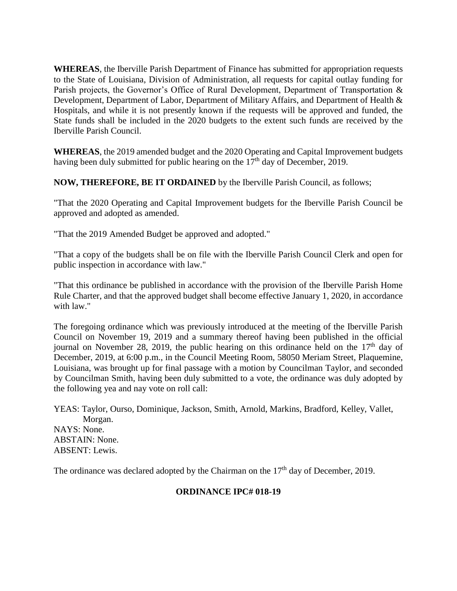**WHEREAS**, the Iberville Parish Department of Finance has submitted for appropriation requests to the State of Louisiana, Division of Administration, all requests for capital outlay funding for Parish projects, the Governor's Office of Rural Development, Department of Transportation & Development, Department of Labor, Department of Military Affairs, and Department of Health & Hospitals, and while it is not presently known if the requests will be approved and funded, the State funds shall be included in the 2020 budgets to the extent such funds are received by the Iberville Parish Council.

**WHEREAS**, the 2019 amended budget and the 2020 Operating and Capital Improvement budgets having been duly submitted for public hearing on the  $17<sup>th</sup>$  day of December, 2019.

**NOW, THEREFORE, BE IT ORDAINED** by the Iberville Parish Council, as follows;

"That the 2020 Operating and Capital Improvement budgets for the Iberville Parish Council be approved and adopted as amended.

"That the 2019 Amended Budget be approved and adopted."

"That a copy of the budgets shall be on file with the Iberville Parish Council Clerk and open for public inspection in accordance with law."

"That this ordinance be published in accordance with the provision of the Iberville Parish Home Rule Charter, and that the approved budget shall become effective January 1, 2020, in accordance with law."

The foregoing ordinance which was previously introduced at the meeting of the Iberville Parish Council on November 19, 2019 and a summary thereof having been published in the official journal on November 28, 2019, the public hearing on this ordinance held on the  $17<sup>th</sup>$  day of December, 2019, at 6:00 p.m., in the Council Meeting Room, 58050 Meriam Street, Plaquemine, Louisiana, was brought up for final passage with a motion by Councilman Taylor, and seconded by Councilman Smith, having been duly submitted to a vote, the ordinance was duly adopted by the following yea and nay vote on roll call:

YEAS: Taylor, Ourso, Dominique, Jackson, Smith, Arnold, Markins, Bradford, Kelley, Vallet, Morgan. NAYS: None. ABSTAIN: None. ABSENT: Lewis.

The ordinance was declared adopted by the Chairman on the  $17<sup>th</sup>$  day of December, 2019.

## **ORDINANCE IPC# 018-19**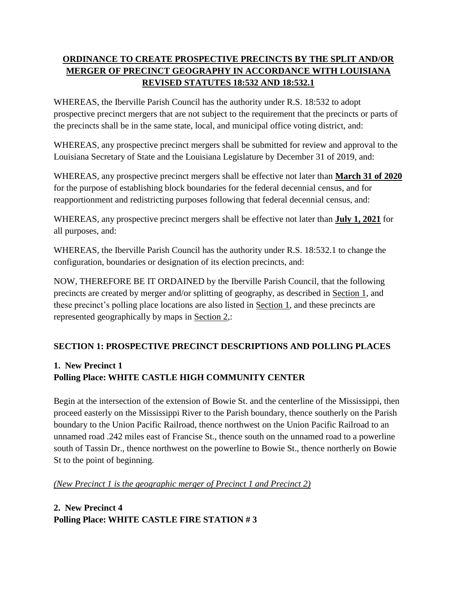## **ORDINANCE TO CREATE PROSPECTIVE PRECINCTS BY THE SPLIT AND/OR MERGER OF PRECINCT GEOGRAPHY IN ACCORDANCE WITH LOUISIANA REVISED STATUTES 18:532 AND 18:532.1**

WHEREAS, the Iberville Parish Council has the authority under R.S. 18:532 to adopt prospective precinct mergers that are not subject to the requirement that the precincts or parts of the precincts shall be in the same state, local, and municipal office voting district, and:

WHEREAS, any prospective precinct mergers shall be submitted for review and approval to the Louisiana Secretary of State and the Louisiana Legislature by December 31 of 2019, and:

WHEREAS, any prospective precinct mergers shall be effective not later than **March 31 of 2020** for the purpose of establishing block boundaries for the federal decennial census, and for reapportionment and redistricting purposes following that federal decennial census, and:

WHEREAS, any prospective precinct mergers shall be effective not later than **July 1, 2021** for all purposes, and:

WHEREAS, the Iberville Parish Council has the authority under R.S. 18:532.1 to change the configuration, boundaries or designation of its election precincts, and:

NOW, THEREFORE BE IT ORDAINED by the Iberville Parish Council, that the following precincts are created by merger and/or splitting of geography, as described in Section 1, and these precinct's polling place locations are also listed in Section 1, and these precincts are represented geographically by maps in Section 2,:

## **SECTION 1: PROSPECTIVE PRECINCT DESCRIPTIONS AND POLLING PLACES**

# **1. New Precinct 1**

## **Polling Place: WHITE CASTLE HIGH COMMUNITY CENTER**

Begin at the intersection of the extension of Bowie St. and the centerline of the Mississippi, then proceed easterly on the Mississippi River to the Parish boundary, thence southerly on the Parish boundary to the Union Pacific Railroad, thence northwest on the Union Pacific Railroad to an unnamed road .242 miles east of Francise St., thence south on the unnamed road to a powerline south of Tassin Dr., thence northwest on the powerline to Bowie St., thence northerly on Bowie St to the point of beginning.

*(New Precinct 1 is the geographic merger of Precinct 1 and Precinct 2)*

## **2. New Precinct 4 Polling Place: WHITE CASTLE FIRE STATION # 3**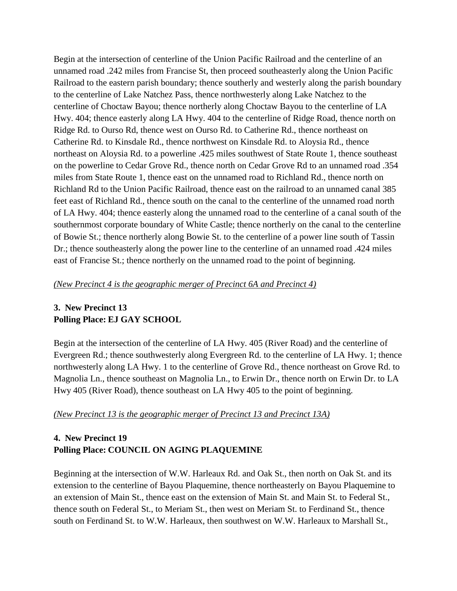Begin at the intersection of centerline of the Union Pacific Railroad and the centerline of an unnamed road .242 miles from Francise St, then proceed southeasterly along the Union Pacific Railroad to the eastern parish boundary; thence southerly and westerly along the parish boundary to the centerline of Lake Natchez Pass, thence northwesterly along Lake Natchez to the centerline of Choctaw Bayou; thence northerly along Choctaw Bayou to the centerline of LA Hwy. 404; thence easterly along LA Hwy. 404 to the centerline of Ridge Road, thence north on Ridge Rd. to Ourso Rd, thence west on Ourso Rd. to Catherine Rd., thence northeast on Catherine Rd. to Kinsdale Rd., thence northwest on Kinsdale Rd. to Aloysia Rd., thence northeast on Aloysia Rd. to a powerline .425 miles southwest of State Route 1, thence southeast on the powerline to Cedar Grove Rd., thence north on Cedar Grove Rd to an unnamed road .354 miles from State Route 1, thence east on the unnamed road to Richland Rd., thence north on Richland Rd to the Union Pacific Railroad, thence east on the railroad to an unnamed canal 385 feet east of Richland Rd., thence south on the canal to the centerline of the unnamed road north of LA Hwy. 404; thence easterly along the unnamed road to the centerline of a canal south of the southernmost corporate boundary of White Castle; thence northerly on the canal to the centerline of Bowie St.; thence northerly along Bowie St. to the centerline of a power line south of Tassin Dr.; thence southeasterly along the power line to the centerline of an unnamed road .424 miles east of Francise St.; thence northerly on the unnamed road to the point of beginning.

#### *(New Precinct 4 is the geographic merger of Precinct 6A and Precinct 4)*

## **3. New Precinct 13 Polling Place: EJ GAY SCHOOL**

Begin at the intersection of the centerline of LA Hwy. 405 (River Road) and the centerline of Evergreen Rd.; thence southwesterly along Evergreen Rd. to the centerline of LA Hwy. 1; thence northwesterly along LA Hwy. 1 to the centerline of Grove Rd., thence northeast on Grove Rd. to Magnolia Ln., thence southeast on Magnolia Ln., to Erwin Dr., thence north on Erwin Dr. to LA Hwy 405 (River Road), thence southeast on LA Hwy 405 to the point of beginning.

#### *(New Precinct 13 is the geographic merger of Precinct 13 and Precinct 13A)*

## **4. New Precinct 19 Polling Place: COUNCIL ON AGING PLAQUEMINE**

Beginning at the intersection of W.W. Harleaux Rd. and Oak St., then north on Oak St. and its extension to the centerline of Bayou Plaquemine, thence northeasterly on Bayou Plaquemine to an extension of Main St., thence east on the extension of Main St. and Main St. to Federal St., thence south on Federal St., to Meriam St., then west on Meriam St. to Ferdinand St., thence south on Ferdinand St. to W.W. Harleaux, then southwest on W.W. Harleaux to Marshall St.,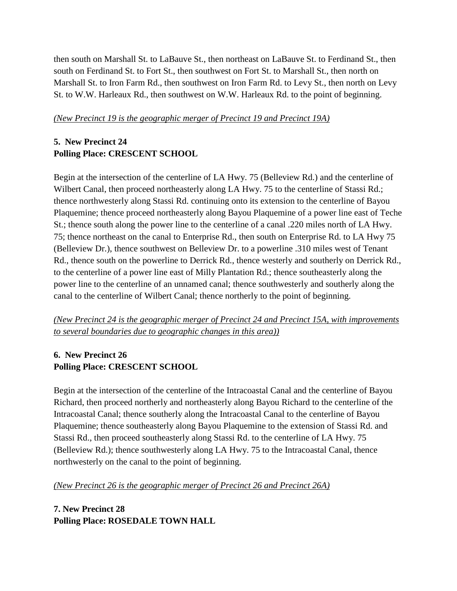then south on Marshall St. to LaBauve St., then northeast on LaBauve St. to Ferdinand St., then south on Ferdinand St. to Fort St., then southwest on Fort St. to Marshall St., then north on Marshall St. to Iron Farm Rd., then southwest on Iron Farm Rd. to Levy St., then north on Levy St. to W.W. Harleaux Rd., then southwest on W.W. Harleaux Rd. to the point of beginning.

### *(New Precinct 19 is the geographic merger of Precinct 19 and Precinct 19A)*

## **5. New Precinct 24 Polling Place: CRESCENT SCHOOL**

Begin at the intersection of the centerline of LA Hwy. 75 (Belleview Rd.) and the centerline of Wilbert Canal, then proceed northeasterly along LA Hwy. 75 to the centerline of Stassi Rd.; thence northwesterly along Stassi Rd. continuing onto its extension to the centerline of Bayou Plaquemine; thence proceed northeasterly along Bayou Plaquemine of a power line east of Teche St.; thence south along the power line to the centerline of a canal .220 miles north of LA Hwy. 75; thence northeast on the canal to Enterprise Rd., then south on Enterprise Rd. to LA Hwy 75 (Belleview Dr.), thence southwest on Belleview Dr. to a powerline .310 miles west of Tenant Rd., thence south on the powerline to Derrick Rd., thence westerly and southerly on Derrick Rd., to the centerline of a power line east of Milly Plantation Rd.; thence southeasterly along the power line to the centerline of an unnamed canal; thence southwesterly and southerly along the canal to the centerline of Wilbert Canal; thence northerly to the point of beginning.

## *(New Precinct 24 is the geographic merger of Precinct 24 and Precinct 15A, with improvements to several boundaries due to geographic changes in this area))*

## **6. New Precinct 26 Polling Place: CRESCENT SCHOOL**

Begin at the intersection of the centerline of the Intracoastal Canal and the centerline of Bayou Richard, then proceed northerly and northeasterly along Bayou Richard to the centerline of the Intracoastal Canal; thence southerly along the Intracoastal Canal to the centerline of Bayou Plaquemine; thence southeasterly along Bayou Plaquemine to the extension of Stassi Rd. and Stassi Rd., then proceed southeasterly along Stassi Rd. to the centerline of LA Hwy. 75 (Belleview Rd.); thence southwesterly along LA Hwy. 75 to the Intracoastal Canal, thence northwesterly on the canal to the point of beginning.

*(New Precinct 26 is the geographic merger of Precinct 26 and Precinct 26A)*

**7. New Precinct 28 Polling Place: ROSEDALE TOWN HALL**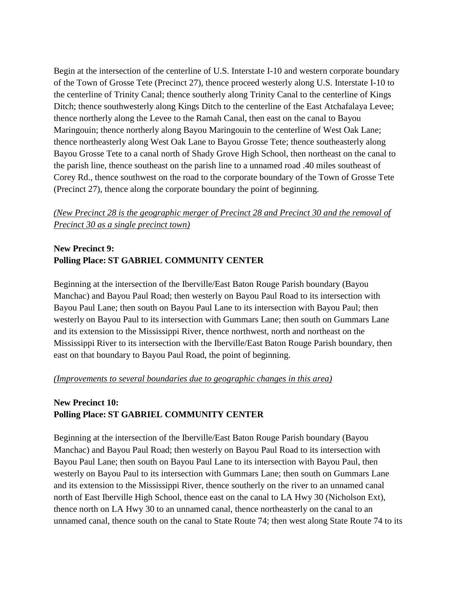Begin at the intersection of the centerline of U.S. Interstate I-10 and western corporate boundary of the Town of Grosse Tete (Precinct 27), thence proceed westerly along U.S. Interstate I-10 to the centerline of Trinity Canal; thence southerly along Trinity Canal to the centerline of Kings Ditch; thence southwesterly along Kings Ditch to the centerline of the East Atchafalaya Levee; thence northerly along the Levee to the Ramah Canal, then east on the canal to Bayou Maringouin; thence northerly along Bayou Maringouin to the centerline of West Oak Lane; thence northeasterly along West Oak Lane to Bayou Grosse Tete; thence southeasterly along Bayou Grosse Tete to a canal north of Shady Grove High School, then northeast on the canal to the parish line, thence southeast on the parish line to a unnamed road .40 miles southeast of Corey Rd., thence southwest on the road to the corporate boundary of the Town of Grosse Tete (Precinct 27), thence along the corporate boundary the point of beginning.

## *(New Precinct 28 is the geographic merger of Precinct 28 and Precinct 30 and the removal of Precinct 30 as a single precinct town)*

## **New Precinct 9: Polling Place: ST GABRIEL COMMUNITY CENTER**

Beginning at the intersection of the Iberville/East Baton Rouge Parish boundary (Bayou Manchac) and Bayou Paul Road; then westerly on Bayou Paul Road to its intersection with Bayou Paul Lane; then south on Bayou Paul Lane to its intersection with Bayou Paul; then westerly on Bayou Paul to its intersection with Gummars Lane; then south on Gummars Lane and its extension to the Mississippi River, thence northwest, north and northeast on the Mississippi River to its intersection with the Iberville/East Baton Rouge Parish boundary, then east on that boundary to Bayou Paul Road, the point of beginning.

#### *(Improvements to several boundaries due to geographic changes in this area)*

## **New Precinct 10: Polling Place: ST GABRIEL COMMUNITY CENTER**

Beginning at the intersection of the Iberville/East Baton Rouge Parish boundary (Bayou Manchac) and Bayou Paul Road; then westerly on Bayou Paul Road to its intersection with Bayou Paul Lane; then south on Bayou Paul Lane to its intersection with Bayou Paul, then westerly on Bayou Paul to its intersection with Gummars Lane; then south on Gummars Lane and its extension to the Mississippi River, thence southerly on the river to an unnamed canal north of East Iberville High School, thence east on the canal to LA Hwy 30 (Nicholson Ext), thence north on LA Hwy 30 to an unnamed canal, thence northeasterly on the canal to an unnamed canal, thence south on the canal to State Route 74; then west along State Route 74 to its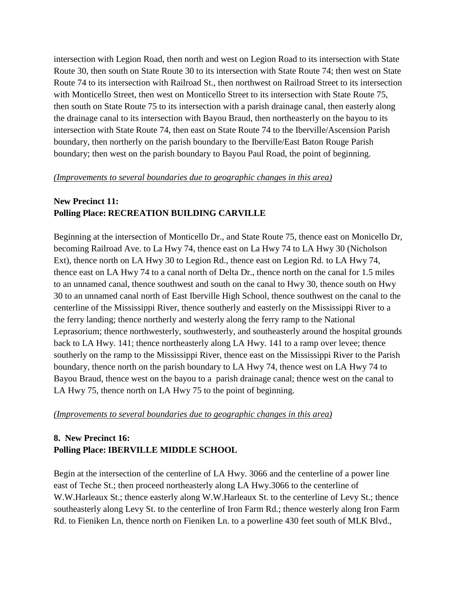intersection with Legion Road, then north and west on Legion Road to its intersection with State Route 30, then south on State Route 30 to its intersection with State Route 74; then west on State Route 74 to its intersection with Railroad St., then northwest on Railroad Street to its intersection with Monticello Street, then west on Monticello Street to its intersection with State Route 75, then south on State Route 75 to its intersection with a parish drainage canal, then easterly along the drainage canal to its intersection with Bayou Braud, then northeasterly on the bayou to its intersection with State Route 74, then east on State Route 74 to the Iberville/Ascension Parish boundary, then northerly on the parish boundary to the Iberville/East Baton Rouge Parish boundary; then west on the parish boundary to Bayou Paul Road, the point of beginning.

#### *(Improvements to several boundaries due to geographic changes in this area)*

## **New Precinct 11: Polling Place: RECREATION BUILDING CARVILLE**

Beginning at the intersection of Monticello Dr., and State Route 75, thence east on Monicello Dr, becoming Railroad Ave. to La Hwy 74, thence east on La Hwy 74 to LA Hwy 30 (Nicholson Ext), thence north on LA Hwy 30 to Legion Rd., thence east on Legion Rd. to LA Hwy 74, thence east on LA Hwy 74 to a canal north of Delta Dr., thence north on the canal for 1.5 miles to an unnamed canal, thence southwest and south on the canal to Hwy 30, thence south on Hwy 30 to an unnamed canal north of East Iberville High School, thence southwest on the canal to the centerline of the Mississippi River, thence southerly and easterly on the Mississippi River to a the ferry landing; thence northerly and westerly along the ferry ramp to the National Leprasorium; thence northwesterly, southwesterly, and southeasterly around the hospital grounds back to LA Hwy. 141; thence northeasterly along LA Hwy. 141 to a ramp over levee; thence southerly on the ramp to the Mississippi River, thence east on the Mississippi River to the Parish boundary, thence north on the parish boundary to LA Hwy 74, thence west on LA Hwy 74 to Bayou Braud, thence west on the bayou to a parish drainage canal; thence west on the canal to LA Hwy 75, thence north on LA Hwy 75 to the point of beginning.

#### *(Improvements to several boundaries due to geographic changes in this area)*

## **8. New Precinct 16: Polling Place: IBERVILLE MIDDLE SCHOOL**

Begin at the intersection of the centerline of LA Hwy. 3066 and the centerline of a power line east of Teche St.; then proceed northeasterly along LA Hwy.3066 to the centerline of W.W.Harleaux St.; thence easterly along W.W.Harleaux St. to the centerline of Levy St.; thence southeasterly along Levy St. to the centerline of Iron Farm Rd.; thence westerly along Iron Farm Rd. to Fieniken Ln, thence north on Fieniken Ln. to a powerline 430 feet south of MLK Blvd.,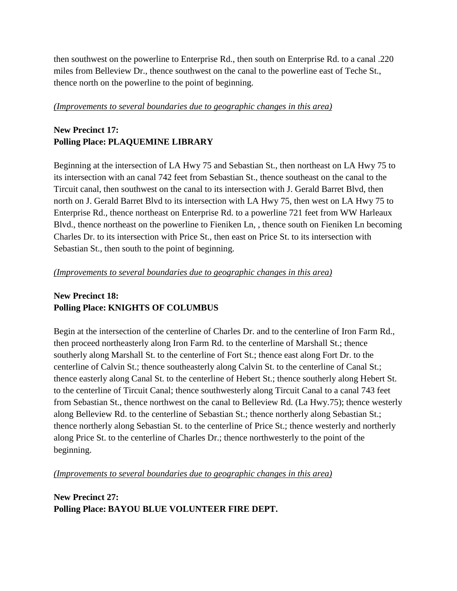then southwest on the powerline to Enterprise Rd., then south on Enterprise Rd. to a canal .220 miles from Belleview Dr., thence southwest on the canal to the powerline east of Teche St., thence north on the powerline to the point of beginning.

#### *(Improvements to several boundaries due to geographic changes in this area)*

## **New Precinct 17: Polling Place: PLAQUEMINE LIBRARY**

Beginning at the intersection of LA Hwy 75 and Sebastian St., then northeast on LA Hwy 75 to its intersection with an canal 742 feet from Sebastian St., thence southeast on the canal to the Tircuit canal, then southwest on the canal to its intersection with J. Gerald Barret Blvd, then north on J. Gerald Barret Blvd to its intersection with LA Hwy 75, then west on LA Hwy 75 to Enterprise Rd., thence northeast on Enterprise Rd. to a powerline 721 feet from WW Harleaux Blvd., thence northeast on the powerline to Fieniken Ln, , thence south on Fieniken Ln becoming Charles Dr. to its intersection with Price St., then east on Price St. to its intersection with Sebastian St., then south to the point of beginning.

### *(Improvements to several boundaries due to geographic changes in this area)*

## **New Precinct 18: Polling Place: KNIGHTS OF COLUMBUS**

Begin at the intersection of the centerline of Charles Dr. and to the centerline of Iron Farm Rd., then proceed northeasterly along Iron Farm Rd. to the centerline of Marshall St.; thence southerly along Marshall St. to the centerline of Fort St.; thence east along Fort Dr. to the centerline of Calvin St.; thence southeasterly along Calvin St. to the centerline of Canal St.; thence easterly along Canal St. to the centerline of Hebert St.; thence southerly along Hebert St. to the centerline of Tircuit Canal; thence southwesterly along Tircuit Canal to a canal 743 feet from Sebastian St., thence northwest on the canal to Belleview Rd. (La Hwy.75); thence westerly along Belleview Rd. to the centerline of Sebastian St.; thence northerly along Sebastian St.; thence northerly along Sebastian St. to the centerline of Price St.; thence westerly and northerly along Price St. to the centerline of Charles Dr.; thence northwesterly to the point of the beginning.

*(Improvements to several boundaries due to geographic changes in this area)*

**New Precinct 27: Polling Place: BAYOU BLUE VOLUNTEER FIRE DEPT.**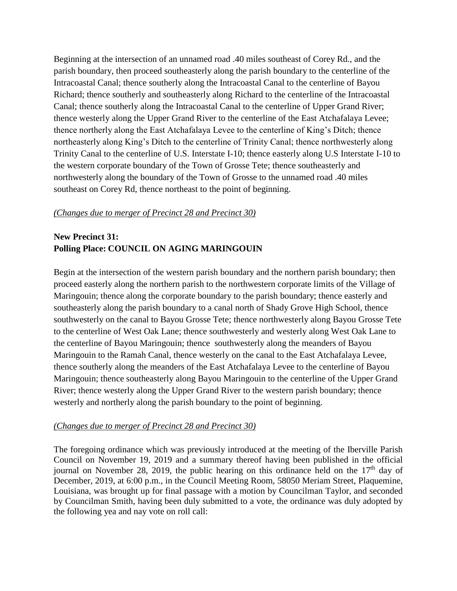Beginning at the intersection of an unnamed road .40 miles southeast of Corey Rd., and the parish boundary, then proceed southeasterly along the parish boundary to the centerline of the Intracoastal Canal; thence southerly along the Intracoastal Canal to the centerline of Bayou Richard; thence southerly and southeasterly along Richard to the centerline of the Intracoastal Canal; thence southerly along the Intracoastal Canal to the centerline of Upper Grand River; thence westerly along the Upper Grand River to the centerline of the East Atchafalaya Levee; thence northerly along the East Atchafalaya Levee to the centerline of King's Ditch; thence northeasterly along King's Ditch to the centerline of Trinity Canal; thence northwesterly along Trinity Canal to the centerline of U.S. Interstate I-10; thence easterly along U.S Interstate I-10 to the western corporate boundary of the Town of Grosse Tete; thence southeasterly and northwesterly along the boundary of the Town of Grosse to the unnamed road .40 miles southeast on Corey Rd, thence northeast to the point of beginning.

#### *(Changes due to merger of Precinct 28 and Precinct 30)*

## **New Precinct 31: Polling Place: COUNCIL ON AGING MARINGOUIN**

Begin at the intersection of the western parish boundary and the northern parish boundary; then proceed easterly along the northern parish to the northwestern corporate limits of the Village of Maringouin; thence along the corporate boundary to the parish boundary; thence easterly and southeasterly along the parish boundary to a canal north of Shady Grove High School, thence southwesterly on the canal to Bayou Grosse Tete; thence northwesterly along Bayou Grosse Tete to the centerline of West Oak Lane; thence southwesterly and westerly along West Oak Lane to the centerline of Bayou Maringouin; thence southwesterly along the meanders of Bayou Maringouin to the Ramah Canal, thence westerly on the canal to the East Atchafalaya Levee, thence southerly along the meanders of the East Atchafalaya Levee to the centerline of Bayou Maringouin; thence southeasterly along Bayou Maringouin to the centerline of the Upper Grand River; thence westerly along the Upper Grand River to the western parish boundary; thence westerly and northerly along the parish boundary to the point of beginning.

#### *(Changes due to merger of Precinct 28 and Precinct 30)*

The foregoing ordinance which was previously introduced at the meeting of the Iberville Parish Council on November 19, 2019 and a summary thereof having been published in the official journal on November 28, 2019, the public hearing on this ordinance held on the  $17<sup>th</sup>$  day of December, 2019, at 6:00 p.m., in the Council Meeting Room, 58050 Meriam Street, Plaquemine, Louisiana, was brought up for final passage with a motion by Councilman Taylor, and seconded by Councilman Smith, having been duly submitted to a vote, the ordinance was duly adopted by the following yea and nay vote on roll call: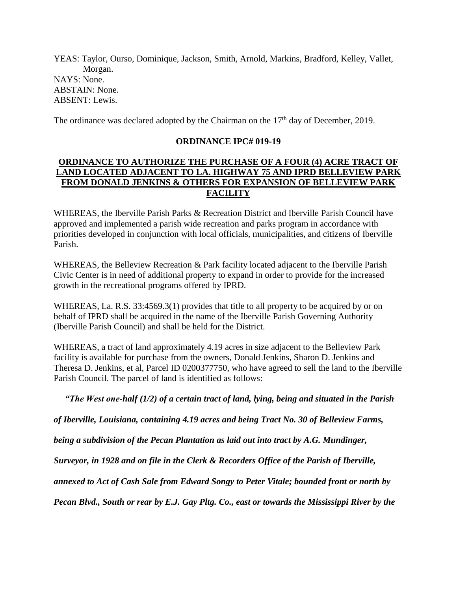YEAS: Taylor, Ourso, Dominique, Jackson, Smith, Arnold, Markins, Bradford, Kelley, Vallet, Morgan. NAYS: None. ABSTAIN: None. ABSENT: Lewis.

The ordinance was declared adopted by the Chairman on the  $17<sup>th</sup>$  day of December, 2019.

### **ORDINANCE IPC# 019-19**

## **ORDINANCE TO AUTHORIZE THE PURCHASE OF A FOUR (4) ACRE TRACT OF LAND LOCATED ADJACENT TO LA. HIGHWAY 75 AND IPRD BELLEVIEW PARK FROM DONALD JENKINS & OTHERS FOR EXPANSION OF BELLEVIEW PARK FACILITY**

WHEREAS, the Iberville Parish Parks & Recreation District and Iberville Parish Council have approved and implemented a parish wide recreation and parks program in accordance with priorities developed in conjunction with local officials, municipalities, and citizens of Iberville Parish.

WHEREAS, the Belleview Recreation & Park facility located adjacent to the Iberville Parish Civic Center is in need of additional property to expand in order to provide for the increased growth in the recreational programs offered by IPRD.

WHEREAS, La. R.S. 33:4569.3(1) provides that title to all property to be acquired by or on behalf of IPRD shall be acquired in the name of the Iberville Parish Governing Authority (Iberville Parish Council) and shall be held for the District.

WHEREAS, a tract of land approximately 4.19 acres in size adjacent to the Belleview Park facility is available for purchase from the owners, Donald Jenkins, Sharon D. Jenkins and Theresa D. Jenkins, et al, Parcel ID 0200377750, who have agreed to sell the land to the Iberville Parish Council. The parcel of land is identified as follows:

*"The West one-half (1/2) of a certain tract of land, lying, being and situated in the Parish* 

*of Iberville, Louisiana, containing 4.19 acres and being Tract No. 30 of Belleview Farms,* 

*being a subdivision of the Pecan Plantation as laid out into tract by A.G. Mundinger,* 

*Surveyor, in 1928 and on file in the Clerk & Recorders Office of the Parish of Iberville,* 

*annexed to Act of Cash Sale from Edward Songy to Peter Vitale; bounded front or north by* 

*Pecan Blvd., South or rear by E.J. Gay Pltg. Co., east or towards the Mississippi River by the*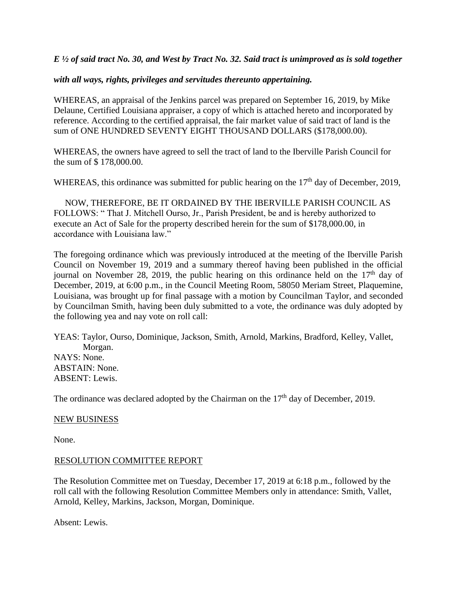*E ½ of said tract No. 30, and West by Tract No. 32. Said tract is unimproved as is sold together* 

*with all ways, rights, privileges and servitudes thereunto appertaining.*

WHEREAS, an appraisal of the Jenkins parcel was prepared on September 16, 2019, by Mike Delaune, Certified Louisiana appraiser, a copy of which is attached hereto and incorporated by reference. According to the certified appraisal, the fair market value of said tract of land is the sum of ONE HUNDRED SEVENTY EIGHT THOUSAND DOLLARS (\$178,000.00).

WHEREAS, the owners have agreed to sell the tract of land to the Iberville Parish Council for the sum of \$ 178,000.00.

WHEREAS, this ordinance was submitted for public hearing on the  $17<sup>th</sup>$  day of December, 2019,

 NOW, THEREFORE, BE IT ORDAINED BY THE IBERVILLE PARISH COUNCIL AS FOLLOWS: " That J. Mitchell Ourso, Jr., Parish President, be and is hereby authorized to execute an Act of Sale for the property described herein for the sum of \$178,000.00, in accordance with Louisiana law."

The foregoing ordinance which was previously introduced at the meeting of the Iberville Parish Council on November 19, 2019 and a summary thereof having been published in the official journal on November 28, 2019, the public hearing on this ordinance held on the  $17<sup>th</sup>$  day of December, 2019, at 6:00 p.m., in the Council Meeting Room, 58050 Meriam Street, Plaquemine, Louisiana, was brought up for final passage with a motion by Councilman Taylor, and seconded by Councilman Smith, having been duly submitted to a vote, the ordinance was duly adopted by the following yea and nay vote on roll call:

YEAS: Taylor, Ourso, Dominique, Jackson, Smith, Arnold, Markins, Bradford, Kelley, Vallet, Morgan. NAYS: None. ABSTAIN: None. ABSENT: Lewis.

The ordinance was declared adopted by the Chairman on the  $17<sup>th</sup>$  day of December, 2019.

#### NEW BUSINESS

None.

#### RESOLUTION COMMITTEE REPORT

The Resolution Committee met on Tuesday, December 17, 2019 at 6:18 p.m., followed by the roll call with the following Resolution Committee Members only in attendance: Smith, Vallet, Arnold, Kelley, Markins, Jackson, Morgan, Dominique.

Absent: Lewis.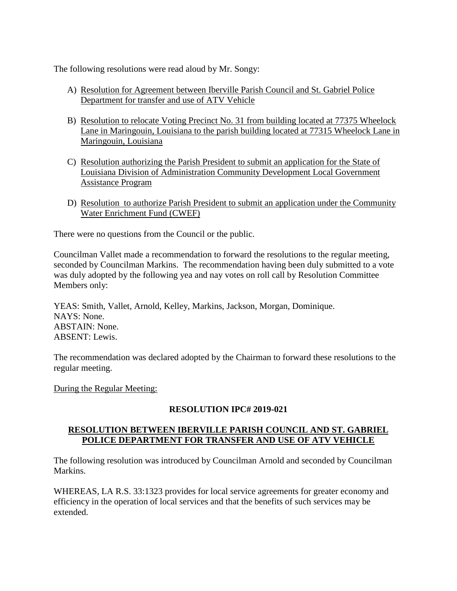The following resolutions were read aloud by Mr. Songy:

- A) Resolution for Agreement between Iberville Parish Council and St. Gabriel Police Department for transfer and use of ATV Vehicle
- B) Resolution to relocate Voting Precinct No. 31 from building located at 77375 Wheelock Lane in Maringouin, Louisiana to the parish building located at 77315 Wheelock Lane in Maringouin, Louisiana
- C) Resolution authorizing the Parish President to submit an application for the State of Louisiana Division of Administration Community Development Local Government Assistance Program
- D) Resolution to authorize Parish President to submit an application under the Community Water Enrichment Fund (CWEF)

There were no questions from the Council or the public.

Councilman Vallet made a recommendation to forward the resolutions to the regular meeting, seconded by Councilman Markins. The recommendation having been duly submitted to a vote was duly adopted by the following yea and nay votes on roll call by Resolution Committee Members only:

YEAS: Smith, Vallet, Arnold, Kelley, Markins, Jackson, Morgan, Dominique. NAYS: None. ABSTAIN: None. ABSENT: Lewis.

The recommendation was declared adopted by the Chairman to forward these resolutions to the regular meeting.

During the Regular Meeting:

## **RESOLUTION IPC# 2019-021**

## **RESOLUTION BETWEEN IBERVILLE PARISH COUNCIL AND ST. GABRIEL POLICE DEPARTMENT FOR TRANSFER AND USE OF ATV VEHICLE**

The following resolution was introduced by Councilman Arnold and seconded by Councilman Markins.

WHEREAS, LA R.S. 33:1323 provides for local service agreements for greater economy and efficiency in the operation of local services and that the benefits of such services may be extended.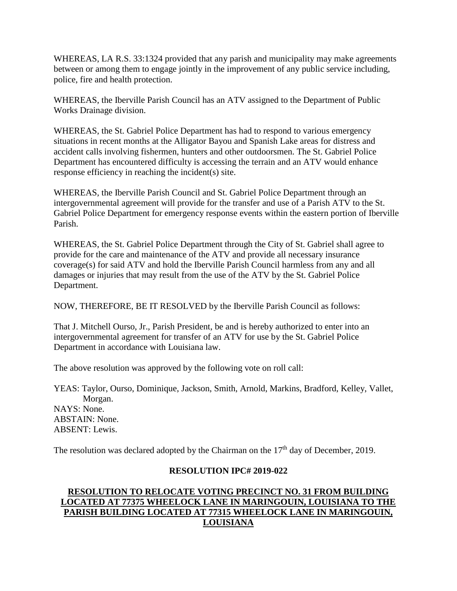WHEREAS, LA R.S. 33:1324 provided that any parish and municipality may make agreements between or among them to engage jointly in the improvement of any public service including, police, fire and health protection.

WHEREAS, the Iberville Parish Council has an ATV assigned to the Department of Public Works Drainage division.

WHEREAS, the St. Gabriel Police Department has had to respond to various emergency situations in recent months at the Alligator Bayou and Spanish Lake areas for distress and accident calls involving fishermen, hunters and other outdoorsmen. The St. Gabriel Police Department has encountered difficulty is accessing the terrain and an ATV would enhance response efficiency in reaching the incident(s) site.

WHEREAS, the Iberville Parish Council and St. Gabriel Police Department through an intergovernmental agreement will provide for the transfer and use of a Parish ATV to the St. Gabriel Police Department for emergency response events within the eastern portion of Iberville Parish.

WHEREAS, the St. Gabriel Police Department through the City of St. Gabriel shall agree to provide for the care and maintenance of the ATV and provide all necessary insurance coverage(s) for said ATV and hold the Iberville Parish Council harmless from any and all damages or injuries that may result from the use of the ATV by the St. Gabriel Police Department.

NOW, THEREFORE, BE IT RESOLVED by the Iberville Parish Council as follows:

That J. Mitchell Ourso, Jr., Parish President, be and is hereby authorized to enter into an intergovernmental agreement for transfer of an ATV for use by the St. Gabriel Police Department in accordance with Louisiana law.

The above resolution was approved by the following vote on roll call:

YEAS: Taylor, Ourso, Dominique, Jackson, Smith, Arnold, Markins, Bradford, Kelley, Vallet, Morgan. NAYS: None. ABSTAIN: None. ABSENT: Lewis.

The resolution was declared adopted by the Chairman on the  $17<sup>th</sup>$  day of December, 2019.

## **RESOLUTION IPC# 2019-022**

## **RESOLUTION TO RELOCATE VOTING PRECINCT NO. 31 FROM BUILDING LOCATED AT 77375 WHEELOCK LANE IN MARINGOUIN, LOUISIANA TO THE PARISH BUILDING LOCATED AT 77315 WHEELOCK LANE IN MARINGOUIN, LOUISIANA**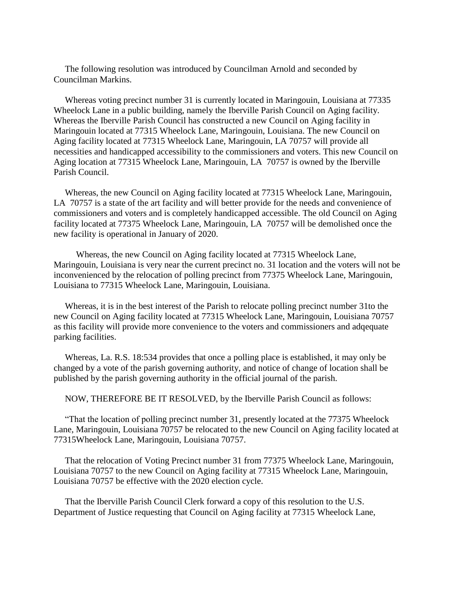The following resolution was introduced by Councilman Arnold and seconded by Councilman Markins.

 Whereas voting precinct number 31 is currently located in Maringouin, Louisiana at 77335 Wheelock Lane in a public building, namely the Iberville Parish Council on Aging facility. Whereas the Iberville Parish Council has constructed a new Council on Aging facility in Maringouin located at 77315 Wheelock Lane, Maringouin, Louisiana. The new Council on Aging facility located at 77315 Wheelock Lane, Maringouin, LA 70757 will provide all necessities and handicapped accessibility to the commissioners and voters. This new Council on Aging location at 77315 Wheelock Lane, Maringouin, LA 70757 is owned by the Iberville Parish Council.

 Whereas, the new Council on Aging facility located at 77315 Wheelock Lane, Maringouin, LA 70757 is a state of the art facility and will better provide for the needs and convenience of commissioners and voters and is completely handicapped accessible. The old Council on Aging facility located at 77375 Wheelock Lane, Maringouin, LA 70757 will be demolished once the new facility is operational in January of 2020.

 Whereas, the new Council on Aging facility located at 77315 Wheelock Lane, Maringouin, Louisiana is very near the current precinct no. 31 location and the voters will not be inconvenienced by the relocation of polling precinct from 77375 Wheelock Lane, Maringouin, Louisiana to 77315 Wheelock Lane, Maringouin, Louisiana.

 Whereas, it is in the best interest of the Parish to relocate polling precinct number 31to the new Council on Aging facility located at 77315 Wheelock Lane, Maringouin, Louisiana 70757 as this facility will provide more convenience to the voters and commissioners and adqequate parking facilities.

 Whereas, La. R.S. 18:534 provides that once a polling place is established, it may only be changed by a vote of the parish governing authority, and notice of change of location shall be published by the parish governing authority in the official journal of the parish.

NOW, THEREFORE BE IT RESOLVED, by the Iberville Parish Council as follows:

 "That the location of polling precinct number 31, presently located at the 77375 Wheelock Lane, Maringouin, Louisiana 70757 be relocated to the new Council on Aging facility located at 77315Wheelock Lane, Maringouin, Louisiana 70757.

 That the relocation of Voting Precinct number 31 from 77375 Wheelock Lane, Maringouin, Louisiana 70757 to the new Council on Aging facility at 77315 Wheelock Lane, Maringouin, Louisiana 70757 be effective with the 2020 election cycle.

 That the Iberville Parish Council Clerk forward a copy of this resolution to the U.S. Department of Justice requesting that Council on Aging facility at 77315 Wheelock Lane,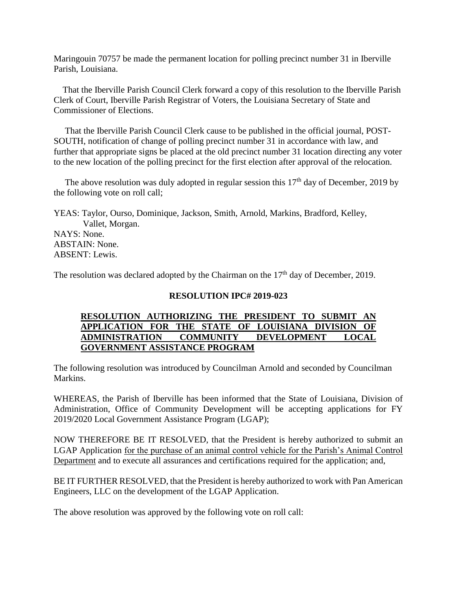Maringouin 70757 be made the permanent location for polling precinct number 31 in Iberville Parish, Louisiana.

 That the Iberville Parish Council Clerk forward a copy of this resolution to the Iberville Parish Clerk of Court, Iberville Parish Registrar of Voters, the Louisiana Secretary of State and Commissioner of Elections.

 That the Iberville Parish Council Clerk cause to be published in the official journal, POST-SOUTH, notification of change of polling precinct number 31 in accordance with law, and further that appropriate signs be placed at the old precinct number 31 location directing any voter to the new location of the polling precinct for the first election after approval of the relocation.

The above resolution was duly adopted in regular session this  $17<sup>th</sup>$  day of December, 2019 by the following vote on roll call;

YEAS: Taylor, Ourso, Dominique, Jackson, Smith, Arnold, Markins, Bradford, Kelley, Vallet, Morgan. NAYS: None. ABSTAIN: None. ABSENT: Lewis.

The resolution was declared adopted by the Chairman on the  $17<sup>th</sup>$  day of December, 2019.

#### **RESOLUTION IPC# 2019-023**

### **RESOLUTION AUTHORIZING THE PRESIDENT TO SUBMIT AN APPLICATION FOR THE STATE OF LOUISIANA DIVISION OF ADMINISTRATION COMMUNITY DEVELOPMENT LOCAL GOVERNMENT ASSISTANCE PROGRAM**

The following resolution was introduced by Councilman Arnold and seconded by Councilman Markins.

WHEREAS, the Parish of Iberville has been informed that the State of Louisiana, Division of Administration, Office of Community Development will be accepting applications for FY 2019/2020 Local Government Assistance Program (LGAP);

NOW THEREFORE BE IT RESOLVED, that the President is hereby authorized to submit an LGAP Application for the purchase of an animal control vehicle for the Parish's Animal Control Department and to execute all assurances and certifications required for the application; and,

BE IT FURTHER RESOLVED, that the President is hereby authorized to work with Pan American Engineers, LLC on the development of the LGAP Application.

The above resolution was approved by the following vote on roll call: